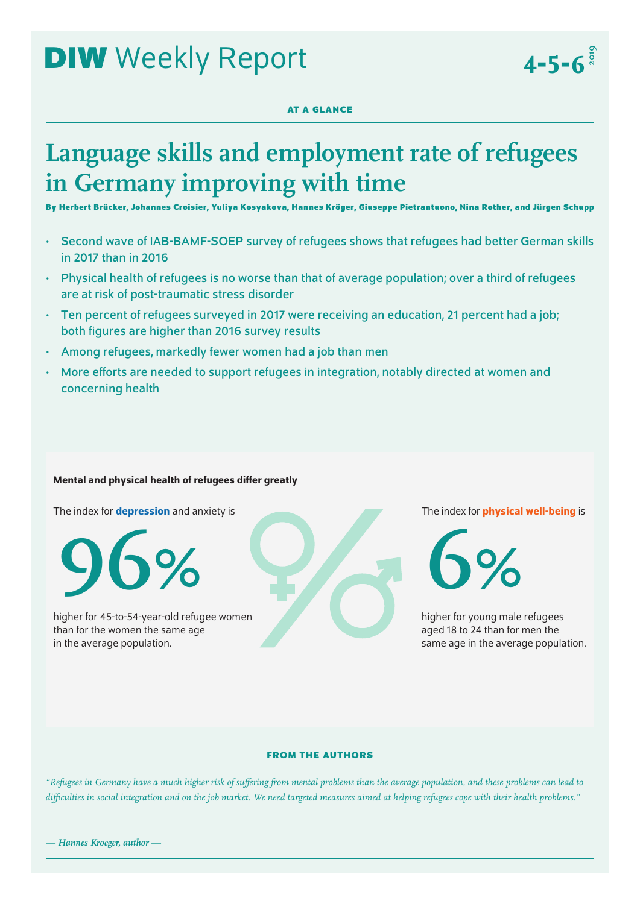# **DIW** Weekly Report

## **AT A GLANCE**

## **Language skills and employment rate of refugees in Germany improving with time**

**By Herbert Brücker, Johannes Croisier, Yuliya Kosyakova, Hannes Kröger, Giuseppe Pietrantuono, Nina Rother, and Jürgen Schupp**

- Second wave of IAB-BAMF-SOEP survey of refugees shows that refugees had better German skills in 2017 than in 2016
- Physical health of refugees is no worse than that of average population; over a third of refugees are at risk of post-traumatic stress disorder
- Ten percent of refugees surveyed in 2017 were receiving an education, 21 percent had a job; both figures are higher than 2016 survey results
- Among refugees, markedly fewer women had a job than men
- More efforts are needed to support refugees in integration, notably directed at women and concerning health

## Mental and physical health of refugees differ greatly

The index for **depression** and anxiety is



higher for 45-to-54-year-old refugee women than for the women the same age in the average population.

The index for **physical well-being** is

 $4 - 5 - 6^{\frac{3}{8}}$ 

**6%**

higher for young male refugees aged 18 to 24 than for men the same age in the average population.

## **FROM THE AUTHORS**

*"Refugees in Germany have a much higher risk of suffering from mental problems than the average population, and these problems can lead to difficulties in social integration and on the job market. We need targeted measures aimed at helping refugees cope with their health problems."*

*— Hannes Kroeger, author —*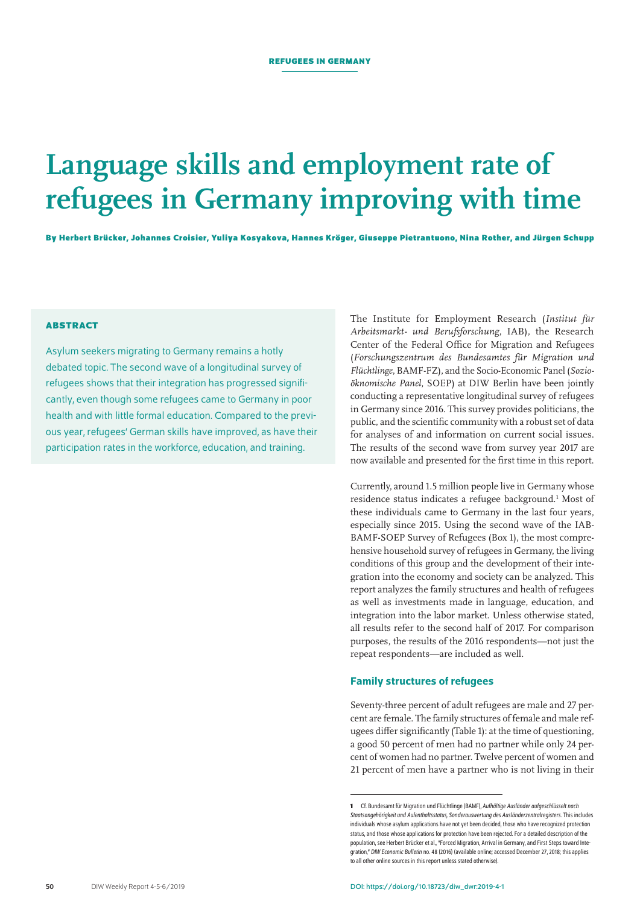## **Language skills and employment rate of refugees in Germany improving with time**

**By Herbert Brücker, Johannes Croisier, Yuliya Kosyakova, Hannes Kröger, Giuseppe Pietrantuono, Nina Rother, and Jürgen Schupp**

## **ABSTRACT**

Asylum seekers migrating to Germany remains a hotly debated topic. The second wave of a longitudinal survey of refugees shows that their integration has progressed significantly, even though some refugees came to Germany in poor health and with little formal education. Compared to the previous year, refugees' German skills have improved, as have their participation rates in the workforce, education, and training.

The Institute for Employment Research (*Institut für Arbeitsmarkt- und Berufsforschung*, IAB), the Research Center of the Federal Office for Migration and Refugees (*Forschungszentrum des Bundesamtes für Migration und Flüchtlinge*, BAMF-FZ), and the Socio-Economic Panel (*Sozioöknomische Panel*, SOEP) at DIW Berlin have been jointly conducting a representative longitudinal survey of refugees in Germany since 2016. This survey provides politicians, the public, and the scientific community with a robust set of data for analyses of and information on current social issues. The results of the second wave from survey year 2017 are now available and presented for the first time in this report.

Currently, around 1.5 million people live in Germany whose residence status indicates a refugee background.<sup>1</sup> Most of these individuals came to Germany in the last four years, especially since 2015. Using the second wave of the IAB-BAMF-SOEP Survey of Refugees (Box 1), the most comprehensive household survey of refugees in Germany, the living conditions of this group and the development of their integration into the economy and society can be analyzed. This report analyzes the family structures and health of refugees as well as investments made in language, education, and integration into the labor market. Unless otherwise stated, all results refer to the second half of 2017. For comparison purposes, the results of the 2016 respondents—not just the repeat respondents—are included as well.

## Family structures of refugees

Seventy-three percent of adult refugees are male and 27 percent are female. The family structures of female and male refugees differ significantly (Table 1): at the time of questioning, a good 50 percent of men had no partner while only 24 percent of women had no partner. Twelve percent of women and 21 percent of men have a partner who is not living in their

**<sup>1</sup>** Cf. Bundesamt für Migration und Flüchtlinge (BAMF), *Aufhältige Ausländer aufgeschlüsselt nach Staatsangehörigkeit und Aufenthaltsstatus, Sonderauswertung des Ausländerzentralregisters*. This includes individuals whose asylum applications have not yet been decided, those who have recognized protection status, and those whose applications for protection have been rejected. For a detailed description of the population, see Herbert Brücker et al., "Forced Migration, Arrival in Germany, and First Steps toward Integration," *DIW Economic Bulletin* no. 48 (2016) ([available online](https://www.diw.de/documents/publikationen/73/diw_01.c.548405.de/diw_econ_bull_2016-48-1.pdf); accessed December27, 2018; this applies to all other online sources in this report unless stated otherwise).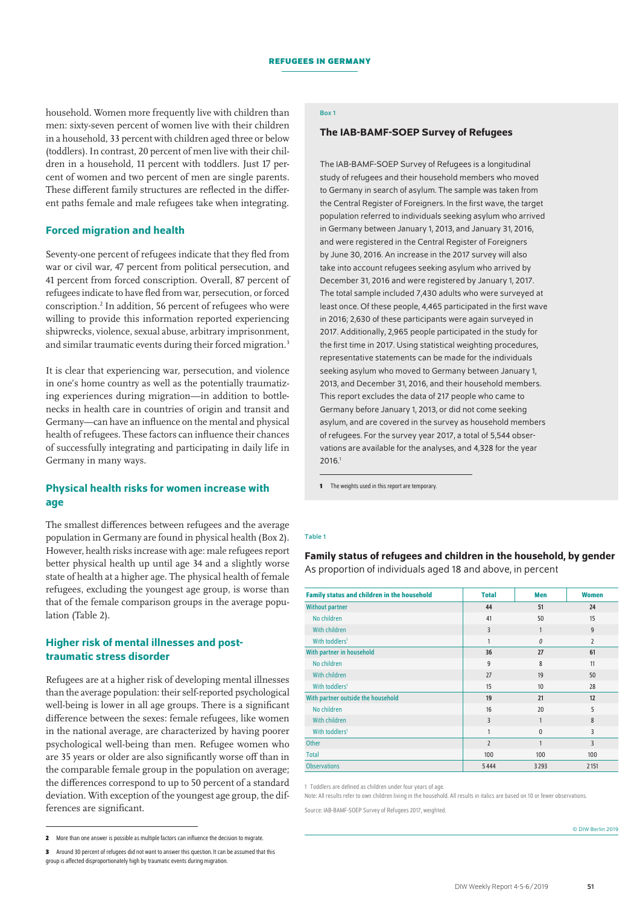household. Women more frequently live with children than men: sixty-seven percent of women live with their children in a household, 33 percent with children aged three or below (toddlers). In contrast, 20 percent of men live with their children in a household, 11 percent with toddlers. Just 17 percent of women and two percent of men are single parents. These different family structures are reflected in the different paths female and male refugees take when integrating.

## Forced migration and health

Seventy-one percent of refugees indicate that they fled from war or civil war, 47 percent from political persecution, and 41 percent from forced conscription. Overall, 87 percent of refugees indicate to have fled from war, persecution, or forced conscription.2 In addition, 56 percent of refugees who were willing to provide this information reported experiencing shipwrecks, violence, sexual abuse, arbitrary imprisonment, and similar traumatic events during their forced migration.<sup>3</sup>

It is clear that experiencing war, persecution, and violence in one's home country as well as the potentially traumatizing experiences during migration—in addition to bottlenecks in health care in countries of origin and transit and Germany—can have an influence on the mental and physical health of refugees. These factors can influence their chances of successfully integrating and participating in daily life in Germany in many ways.

## Physical health risks for women increase with age

The smallest differences between refugees and the average population in Germany are found in physical health (Box 2). However, health risks increase with age: male refugees report better physical health up until age 34 and a slightly worse state of health at a higher age. The physical health of female refugees, excluding the youngest age group, is worse than that of the female comparison groups in the average population (Table 2).

## Higher risk of mental illnesses and posttraumatic stress disorder

Refugees are at a higher risk of developing mental illnesses than the average population: their self-reported psychological well-being is lower in all age groups. There is a significant difference between the sexes: female refugees, like women in the national average, are characterized by having poorer psychological well-being than men. Refugee women who are 35 years or older are also significantly worse off than in the comparable female group in the population on average; the differences correspond to up to 50 percent of a standard deviation. With exception of the youngest age group, the differences are significant.

## Box 1

## The IAB-BAMF-SOEP Survey of Refugees

The IAB-BAMF-SOEP Survey of Refugees is a longitudinal study of refugees and their household members who moved to Germany in search of asylum. The sample was taken from the Central Register of Foreigners. In the first wave, the target population referred to individuals seeking asylum who arrived in Germany between January 1, 2013, and January 31, 2016, and were registered in the Central Register of Foreigners by June 30, 2016. An increase in the 2017 survey will also take into account refugees seeking asylum who arrived by December 31, 2016 and were registered by January 1, 2017. The total sample included 7,430 adults who were surveyed at least once. Of these people, 4,465 participated in the first wave in 2016; 2,630 of these participants were again surveyed in 2017. Additionally, 2,965 people participated in the study for the first time in 2017. Using statistical weighting procedures, representative statements can be made for the individuals seeking asylum who moved to Germany between January 1, 2013, and December 31, 2016, and their household members. This report excludes the data of 217 people who came to Germany before January 1, 2013, or did not come seeking asylum, and are covered in the survey as household members of refugees. For the survey year 2017, a total of 5,544 observations are available for the analyses, and 4,328 for the year 2016.1

**1** The weights used in this report are temporary.

#### Table 1

Family status of refugees and children in the household, by gender As proportion of individuals aged 18 and above, in percent

| <b>Family status and children in the household</b> | <b>Total</b>   | Men              | <b>Women</b>   |
|----------------------------------------------------|----------------|------------------|----------------|
| <b>Without partner</b>                             | 44             | 51               | 24             |
| No children                                        | 41             | 50               | 15             |
| With children                                      | 3              | $\mathbf{1}$     | $\overline{9}$ |
| With toddlers <sup>1</sup>                         | 1              | 0                | $\overline{2}$ |
| With partner in household                          | 36             | 27               | 61             |
| No children                                        | 9              | 8                | 11             |
| With children                                      | 27             | 19               | 50             |
| With toddlers <sup>1</sup>                         | 15             | 10 <sup>10</sup> | 28             |
| With partner outside the household                 | 19             | 21               | 12             |
| No children                                        | 16             | 20               | 5              |
| With children                                      | 3              | $\mathbf{1}$     | 8              |
| With toddlers <sup>1</sup>                         | 1              | $\mathbf{0}$     | 3              |
| <b>Other</b>                                       | $\overline{2}$ | $\mathbf{1}$     | 3              |
| <b>Total</b>                                       | 100            | 100              | 100            |
| <b>Observations</b>                                | 5444           | 3293             | 2151           |

1 Toddlers are defined as children under four years of age.

Note: All results refer to own children living in the household. All results in italics are based on 10 or fewer observations.

Source: IAB-BAMF-SOEP Survey of Refugees 2017, weighted.

<sup>©</sup> DIW Berlin 2019

**<sup>2</sup>** More than one answer is possible as multiple factors can influence the decision to migrate.

**<sup>3</sup>** Around 30 percent of refugees did not want to answer this question. It can be assumed that this

group is affected disproportionately high by traumatic events during migration.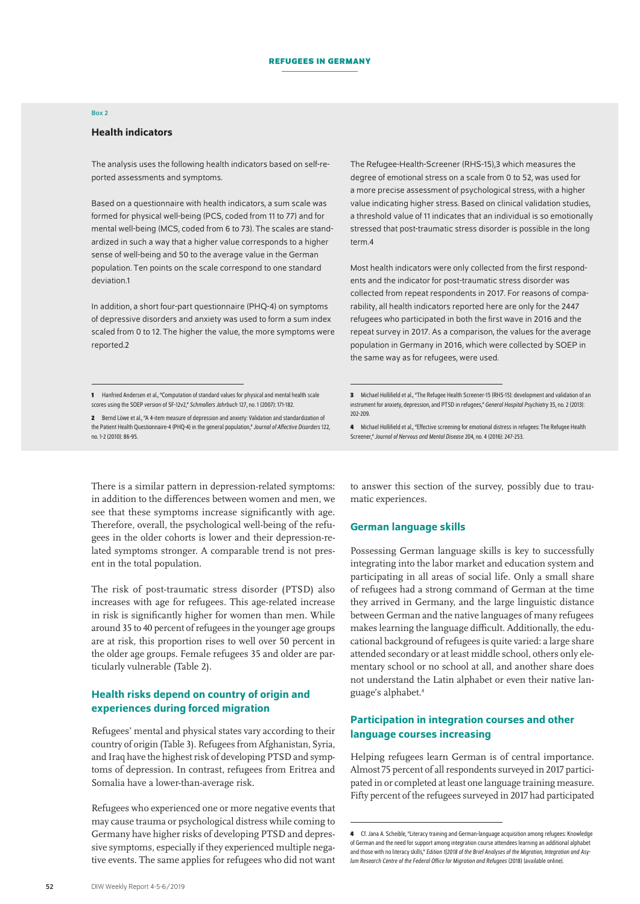#### Box 2

#### Health indicators

The analysis uses the following health indicators based on self-reported assessments and symptoms.

Based on a questionnaire with health indicators, a sum scale was formed for physical well-being (PCS, coded from 11 to 77) and for mental well-being (MCS, coded from 6 to 73). The scales are standardized in such a way that a higher value corresponds to a higher sense of well-being and 50 to the average value in the German population. Ten points on the scale correspond to one standard deviation.1

In addition, a short four-part questionnaire (PHQ-4) on symptoms of depressive disorders and anxiety was used to form a sum index scaled from 0 to 12. The higher the value, the more symptoms were reported.2

**2** Bernd Löwe et al., "A 4-item measure of depression and anxiety: Validation and standardization of the Patient Health Questionnaire-4 (PHQ-4) in the general population," *Journal of Affective Disorders* 122, no. 1-2 (2010): 86-95.

There is a similar pattern in depression-related symptoms: in addition to the differences between women and men, we see that these symptoms increase significantly with age. Therefore, overall, the psychological well-being of the refugees in the older cohorts is lower and their depression-related symptoms stronger. A comparable trend is not present in the total population.

The risk of post-traumatic stress disorder (PTSD) also increases with age for refugees. This age-related increase in risk is significantly higher for women than men. While around 35 to 40 percent of refugees in the younger age groups are at risk, this proportion rises to well over 50 percent in the older age groups. Female refugees 35 and older are particularly vulnerable (Table 2).

## Health risks depend on country of origin and experiences during forced migration

Refugees' mental and physical states vary according to their country of origin (Table 3). Refugees from Afghanistan, Syria, and Iraq have the highest risk of developing PTSD and symptoms of depression. In contrast, refugees from Eritrea and Somalia have a lower-than-average risk.

Refugees who experienced one or more negative events that may cause trauma or psychological distress while coming to Germany have higher risks of developing PTSD and depressive symptoms, especially if they experienced multiple negative events. The same applies for refugees who did not want The Refugee-Health-Screener (RHS-15),3 which measures the degree of emotional stress on a scale from 0 to 52, was used for a more precise assessment of psychological stress, with a higher value indicating higher stress. Based on clinical validation studies, a threshold value of 11 indicates that an individual is so emotionally stressed that post-traumatic stress disorder is possible in the long term 4

Most health indicators were only collected from the first respondents and the indicator for post-traumatic stress disorder was collected from repeat respondents in 2017. For reasons of comparability, all health indicators reported here are only for the 2447 refugees who participated in both the first wave in 2016 and the repeat survey in 2017. As a comparison, the values for the average population in Germany in 2016, which were collected by SOEP in the same way as for refugees, were used.

to answer this section of the survey, possibly due to traumatic experiences.

#### German language skills

Possessing German language skills is key to successfully integrating into the labor market and education system and participating in all areas of social life. Only a small share of refugees had a strong command of German at the time they arrived in Germany, and the large linguistic distance between German and the native languages of many refugees makes learning the language difficult. Additionally, the educational background of refugees is quite varied: a large share attended secondary or at least middle school, others only elementary school or no school at all, and another share does not understand the Latin alphabet or even their native language's alphabet.4

## Participation in integration courses and other language courses increasing

Helping refugees learn German is of central importance. Almost 75 percent of all respondents surveyed in 2017 participated in or completed at least one language training measure. Fifty percent of the refugees surveyed in 2017 had participated

**<sup>1</sup>** Hanfried Andersen etal., "Computation of standard values for physical and mental health scale scores using the SOEP version of SF-12v2," *Schmollers Jahrbuch* 127, no. 1 (2007): 171-182.

**<sup>3</sup>** Michael Hollifield etal., "The Refugee Health Screener-15 (RHS-15): development and validation of an instrument for anxiety, depression, and PTSD in refugees," *General Hospital Psychiatry* 35, no.2 (2013): 202-209.

**<sup>4</sup>** Michael Hollifield etal., "Effective screening for emotional distress in refugees: The Refugee Health Screener," *Journal of Nervous and Mental Disease* 204, no. 4 (2016): 247-253.

**<sup>4</sup>** Cf. Jana A. Scheible, "Literacy training and German-language acquisition among refugees: Knowledge of German and the need for support among integration course attendees learning an additional alphabet and those with no literacy skills," *Edition 1|2018 of the Brief Analyses of the Migration, Integration and Asylum Research Centre of the Federal Office for Migration and Refugees* (2018) ([available online](http://www.bamf.de/SharedDocs/Anlagen/EN/Publikationen/Kurzanalysen/kurzanalyse10_iab-bamf-soep-befragung-gefluechtete-alphabetisierung.pdf;jsessionid=B38D724E0345E10A0406FE984EDB6632.1_cid286?__blob=publicationFile)).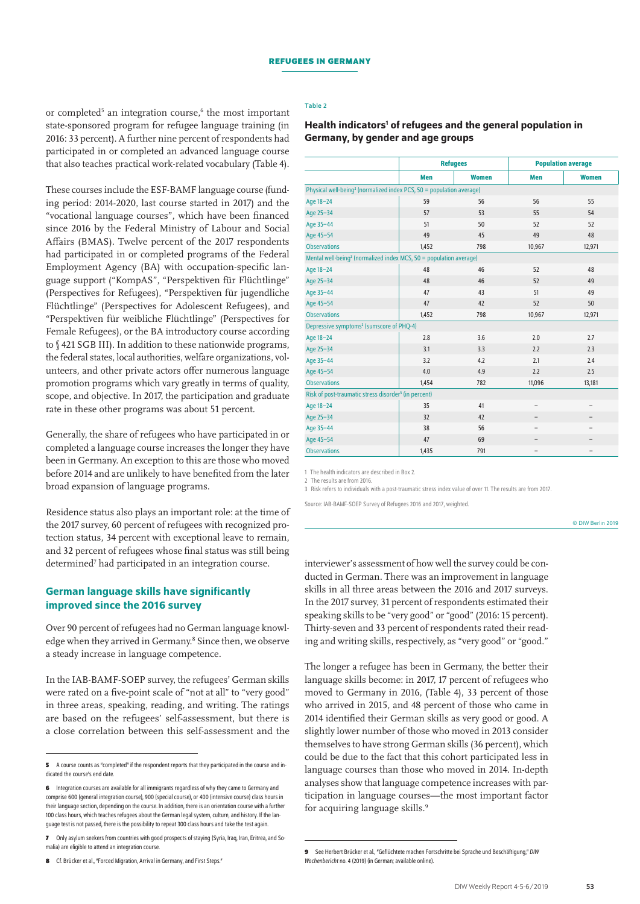#### Table 2

or completed<sup>5</sup> an integration course,<sup>6</sup> the most important state-sponsored program for refugee language training (in 2016: 33 percent). A further nine percent of respondents had participated in or completed an advanced language course that also teaches practical work-related vocabulary (Table 4).

These courses include the ESF-BAMF language course (funding period: 2014-2020, last course started in 2017) and the "vocational language courses", which have been financed since 2016 by the Federal Ministry of Labour and Social Affairs (BMAS). Twelve percent of the 2017 respondents had participated in or completed programs of the Federal Employment Agency (BA) with occupation-specific language support ("KompAS", "Perspektiven für Flüchtlinge" (Perspectives for Refugees), "Perspektiven für jugendliche Flüchtlinge" (Perspectives for Adolescent Refugees), and "Perspektiven für weibliche Flüchtlinge" (Perspectives for Female Refugees), or the BA introductory course according to § 421 SGB III). In addition to these nationwide programs, the federal states, local authorities, welfare organizations, volunteers, and other private actors offer numerous language promotion programs which vary greatly in terms of quality, scope, and objective. In 2017, the participation and graduate rate in these other programs was about 51 percent.

Generally, the share of refugees who have participated in or completed a language course increases the longer they have been in Germany. An exception to this are those who moved before 2014 and are unlikely to have benefited from the later broad expansion of language programs.

Residence status also plays an important role: at the time of the 2017 survey, 60 percent of refugees with recognized protection status, 34 percent with exceptional leave to remain, and 32 percent of refugees whose final status was still being determined<sup>7</sup> had participated in an integration course.

## German language skills have significantly improved since the 2016 survey

Over 90 percent of refugees had no German language knowledge when they arrived in Germany.<sup>8</sup> Since then, we observe a steady increase in language competence.

In the IAB-BAMF-SOEP survey, the refugees' German skills were rated on a five-point scale of "not at all" to "very good" in three areas, speaking, reading, and writing. The ratings are based on the refugees' self-assessment, but there is a close correlation between this self-assessment and the

| Health indicators <sup>1</sup> of refugees and the general population in |
|--------------------------------------------------------------------------|
| Germany, by gender and age groups                                        |

|                                                                                  | <b>Refugees</b> |              | <b>Population average</b> |                          |  |  |  |
|----------------------------------------------------------------------------------|-----------------|--------------|---------------------------|--------------------------|--|--|--|
|                                                                                  | Men             | <b>Women</b> | Men                       | <b>Women</b>             |  |  |  |
| Physical well-being <sup>2</sup> (normalized index PCS, 50 = population average) |                 |              |                           |                          |  |  |  |
| Age 18-24                                                                        | 59              | 56           | 56                        | 55                       |  |  |  |
| Age 25-34                                                                        | 57              | 53           | 55                        | 54                       |  |  |  |
| Age 35-44                                                                        | 51              | 50           | 52                        | 52                       |  |  |  |
| Age 45-54                                                                        | 49              | 45           | 49                        | 48                       |  |  |  |
| <b>Observations</b>                                                              | 1,452           | 798          | 10,967                    | 12,971                   |  |  |  |
| Mental well-being <sup>2</sup> (normalized index MCS, $50 =$ population average) |                 |              |                           |                          |  |  |  |
| Age 18-24                                                                        | 48              | 46           | 52                        | 48                       |  |  |  |
| Age 25-34                                                                        | 48              | 46           | 52                        | 49                       |  |  |  |
| Age 35-44                                                                        | 47              | 43           | 51                        | 49                       |  |  |  |
| Age 45-54                                                                        | 47              | 42           | 52                        | 50                       |  |  |  |
| <b>Observations</b>                                                              | 1,452           | 798          | 10,967                    | 12,971                   |  |  |  |
| Depressive symptoms <sup>2</sup> (sumscore of PHQ-4)                             |                 |              |                           |                          |  |  |  |
| Age 18-24                                                                        | 2.8             | 3.6          | 2.0                       | 2.7                      |  |  |  |
| Age 25-34                                                                        | 3.1             | 3.3          | 2.2                       | 2.3                      |  |  |  |
| Age 35-44                                                                        | 3.2             | 4.2          | 2.1                       | 2.4                      |  |  |  |
| Age 45-54                                                                        | 4.0             | 4.9          | 2.2                       | 2.5                      |  |  |  |
| <b>Observations</b>                                                              | 1,454           | 782          | 11,096                    | 13,181                   |  |  |  |
| Risk of post-traumatic stress disorder <sup>3</sup> (in percent)                 |                 |              |                           |                          |  |  |  |
| Age 18-24                                                                        | 35              | 41           | $\overline{\phantom{0}}$  | $\overline{\phantom{0}}$ |  |  |  |
| Age 25-34                                                                        | 32              | 42           |                           |                          |  |  |  |
| Age 35-44                                                                        | 38              | 56           | $\overline{\phantom{0}}$  |                          |  |  |  |
| Age 45-54                                                                        | 47              | 69           | $\qquad \qquad -$         | $\overline{\phantom{0}}$ |  |  |  |
| <b>Observations</b>                                                              | 1,435           | 791          |                           |                          |  |  |  |

1 The health indicators are described in Box 2.

2 The results are from 2016.

3 Risk refers to individuals with a post-traumatic stress index value of over 11. The results are from 2017.

Source: IAB-BAMF-SOEP Survey of Refugees 2016 and 2017, weighted.

© DIW Berlin 2019

interviewer's assessment of how well the survey could be conducted in German. There was an improvement in language skills in all three areas between the 2016 and 2017 surveys. In the 2017 survey, 31 percent of respondents estimated their speaking skills to be "very good" or "good" (2016: 15 percent). Thirty-seven and 33 percent of respondents rated their reading and writing skills, respectively, as "very good" or "good."

The longer a refugee has been in Germany, the better their language skills become: in 2017, 17 percent of refugees who moved to Germany in 2016, (Table 4), 33 percent of those who arrived in 2015, and 48 percent of those who came in 2014 identified their German skills as very good or good. A slightly lower number of those who moved in 2013 consider themselves to have strong German skills (36 percent), which could be due to the fact that this cohort participated less in language courses than those who moved in 2014. In-depth analyses show that language competence increases with participation in language courses—the most important factor for acquiring language skills.<sup>9</sup>

**<sup>5</sup>** A course counts as "completed" if the respondent reports that they participated in the course and indicated the course's end date.

**<sup>6</sup>** Integration courses are available for all immigrants regardless of why they came to Germany and comprise 600 (general integration course), 900 (special course), or 400 (intensive course) class hours in their language section, depending on the course. In addition, there is an orientation course with a further 100 class hours, which teaches refugees about the German legal system, culture, and history. If the language test is not passed, there is the possibility to repeat 300 class hours and take the test again.

**<sup>7</sup>** Only asylum seekers from countries with good prospects of staying (Syria, Iraq, Iran, Eritrea, and Somalia) are eligible to attend an integration course.

**<sup>8</sup>** Cf. Brücker etal., "Forced Migration, Arrival in Germany, and First Steps."

**<sup>9</sup>** See Herbert Brücker etal., "Geflüchtete machen Fortschritte bei Sprache und Beschäftigung," *DIW Wochenbericht* no. 4 (2019) (in German; available online).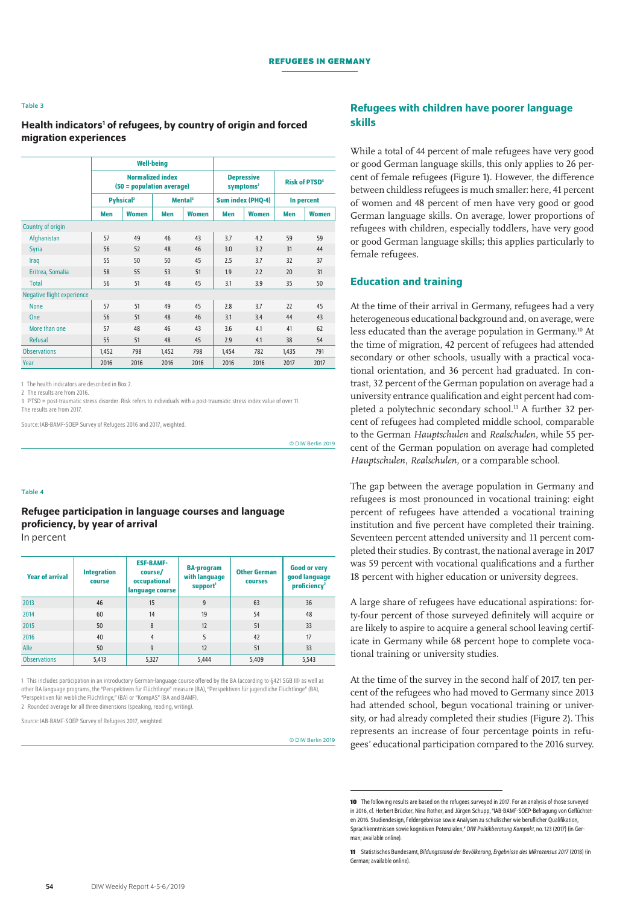#### Table 3

## Health indicators<sup>1</sup> of refugees, by country of origin and forced migration experiences

|                                   |                                                      | <b>Well-being</b>           |                     |                                            |                   |                                 |            |              |
|-----------------------------------|------------------------------------------------------|-----------------------------|---------------------|--------------------------------------------|-------------------|---------------------------------|------------|--------------|
|                                   | <b>Normalized index</b><br>(50 = population average) |                             |                     | <b>Depressive</b><br>symptoms <sup>2</sup> |                   | <b>Risk of PTSD<sup>3</sup></b> |            |              |
|                                   |                                                      | <b>Pyhsical<sup>2</sup></b> | Mental <sup>2</sup> |                                            | Sum index (PHQ-4) |                                 | In percent |              |
|                                   | Men                                                  | <b>Women</b>                | Men                 | <b>Women</b>                               | Men               | <b>Women</b>                    | Men        | <b>Women</b> |
| Country of origin                 |                                                      |                             |                     |                                            |                   |                                 |            |              |
| Afghanistan                       | 57                                                   | 49                          | 46                  | 43                                         | 3.7               | 4.2                             | 59         | 59           |
| <b>Syria</b>                      | 56                                                   | 52                          | 48                  | 46                                         | 3.0               | 3.2                             | 31         | 44           |
| Iraq                              | 55                                                   | 50                          | 50                  | 45                                         | 2.5               | 3.7                             | 32         | 37           |
| Eritrea, Somalia                  | 58                                                   | 55                          | 53                  | 51                                         | 1.9               | 2.2                             | 20         | 31           |
| <b>Total</b>                      | 56                                                   | 51                          | 48                  | 45                                         | 3.1               | 3.9                             | 35         | 50           |
| <b>Negative flight experience</b> |                                                      |                             |                     |                                            |                   |                                 |            |              |
| <b>None</b>                       | 57                                                   | 51                          | 49                  | 45                                         | 2.8               | 3.7                             | 22         | 45           |
| <b>One</b>                        | 56                                                   | 51                          | 48                  | 46                                         | 3.1               | 3.4                             | 44         | 43           |
| More than one                     | 57                                                   | 48                          | 46                  | 43                                         | 3.6               | 4.1                             | 41         | 62           |
| <b>Refusal</b>                    | 55                                                   | 51                          | 48                  | 45                                         | 2.9               | 4.1                             | 38         | 54           |
| <b>Observations</b>               | 1,452                                                | 798                         | 1,452               | 798                                        | 1,454             | 782                             | 1,435      | 791          |
| Year                              | 2016                                                 | 2016                        | 2016                | 2016                                       | 2016              | 2016                            | 2017       | 2017         |

1 The health indicators are described in Box 2.

2 The results are from 2016.

3 PTSD = post-traumatic stress disorder. Risk refers to individuals with a post-traumatic stress index value of over 11. The results are from 2017.

Source: IAB-BAMF-SOEP Survey of Refugees 2016 and 2017, weighted.

© DIW Berlin 2019

#### Table 4

## Refugee participation in language courses and language proficiency, by year of arrival In percent

| <b>Year of arrival</b> | <b>Integration</b><br>course | <b>ESF-BAMF-</b><br>course/<br>occupational<br>language course | <b>BA-program</b><br>with language<br>support <sup>1</sup> | <b>Other German</b><br><b>COUISES</b> | <b>Good or very</b><br>good language<br>proficiency <sup>2</sup> |  |
|------------------------|------------------------------|----------------------------------------------------------------|------------------------------------------------------------|---------------------------------------|------------------------------------------------------------------|--|
| 2013                   | 46                           | 15                                                             | 9                                                          | 63                                    | 36                                                               |  |
| 2014                   | 60                           | 14                                                             | 19                                                         | 54                                    | 48                                                               |  |
| 2015                   | 50                           | 8                                                              | 12                                                         | 51                                    | 33                                                               |  |
| 2016                   | 40                           | $\overline{4}$                                                 | 5                                                          | 42                                    | 17                                                               |  |
| Alle                   | 50                           | 9                                                              | 12                                                         | 51                                    | 33                                                               |  |
| <b>Observations</b>    | 5,413                        | 5,327                                                          | 5,444                                                      | 5,409                                 | 5,543                                                            |  |

1 This includes participation in an introductory German-language course offered by the BA (according to §421 SGB III) as well as other BA language programs, the "Perspektiven für Flüchtlinge" measure (BA), "Perspektiven für jugendliche Flüchtlinge" (BA), "Perspektiven für weibliche Flüchtlinge," (BA) or "KompAS" (BA and BAMF).

2 Rounded average for all three dimensions (speaking, reading, writing).

Source: IAB-BAMF-SOEP Survey of Refugees 2017, weighted.

© DIW Berlin 2019

## Refugees with children have poorer language skills

While a total of 44 percent of male refugees have very good or good German language skills, this only applies to 26 percent of female refugees (Figure 1). However, the difference between childless refugees is much smaller: here, 41 percent of women and 48 percent of men have very good or good German language skills. On average, lower proportions of refugees with children, especially toddlers, have very good or good German language skills; this applies particularly to female refugees.

## Education and training

At the time of their arrival in Germany, refugees had a very heterogeneous educational background and, on average, were less educated than the average population in Germany.10 At the time of migration, 42 percent of refugees had attended secondary or other schools, usually with a practical vocational orientation, and 36 percent had graduated. In contrast, 32 percent of the German population on average had a university entrance qualification and eight percent had completed a polytechnic secondary school.<sup>11</sup> A further 32 percent of refugees had completed middle school, comparable to the German *Hauptschulen* and *Realschulen*, while 55 percent of the German population on average had completed *Hauptschulen*, *Realschulen*, or a comparable school.

The gap between the average population in Germany and refugees is most pronounced in vocational training: eight percent of refugees have attended a vocational training institution and five percent have completed their training. Seventeen percent attended university and 11 percent completed their studies. By contrast, the national average in 2017 was 59 percent with vocational qualifications and a further 18 percent with higher education or university degrees.

A large share of refugees have educational aspirations: forty-four percent of those surveyed definitely will acquire or are likely to aspire to acquire a general school leaving certificate in Germany while 68 percent hope to complete vocational training or university studies.

At the time of the survey in the second half of 2017, ten percent of the refugees who had moved to Germany since 2013 had attended school, begun vocational training or university, or had already completed their studies (Figure 2). This represents an increase of four percentage points in refugees' educational participation compared to the 2016 survey.

**<sup>10</sup>** The following results are based on the refugees surveyed in 2017. For an analysis of those surveyed in 2016, cf. Herbert Brücker, Nina Rother, and Jürgen Schupp, "IAB-BAMF-SOEP-Befragung von Geflüchteten 2016. Studiendesign, Feldergebnisse sowie Analysen zu schulischer wie beruflicher Qualifikation Sprachkenntnissen sowie kognitiven Potenzialen," *DIW Politikberatung Kompakt*, no. 123 (2017) (in German; [available online](https://www.bamf.de/SharedDocs/Anlagen/DE/Publikationen/Forschungsberichte/fb30-iab-bamf-soep-befragung-gefluechtete-2016.pdf?__blob=publicationFile)).

**<sup>11</sup>** Statistisches Bundesamt, *Bildungsstand der Bevölkerung, Ergebnisse des Mikrozensus 2017* (2018) (in German; [available online\)](https://www.destatis.de/DE/Publikationen/Thematisch/BildungForschungKultur/Bildungsstand/BildungsstandBevoelkerung5210002177004.pdf?__blob=publicationFile).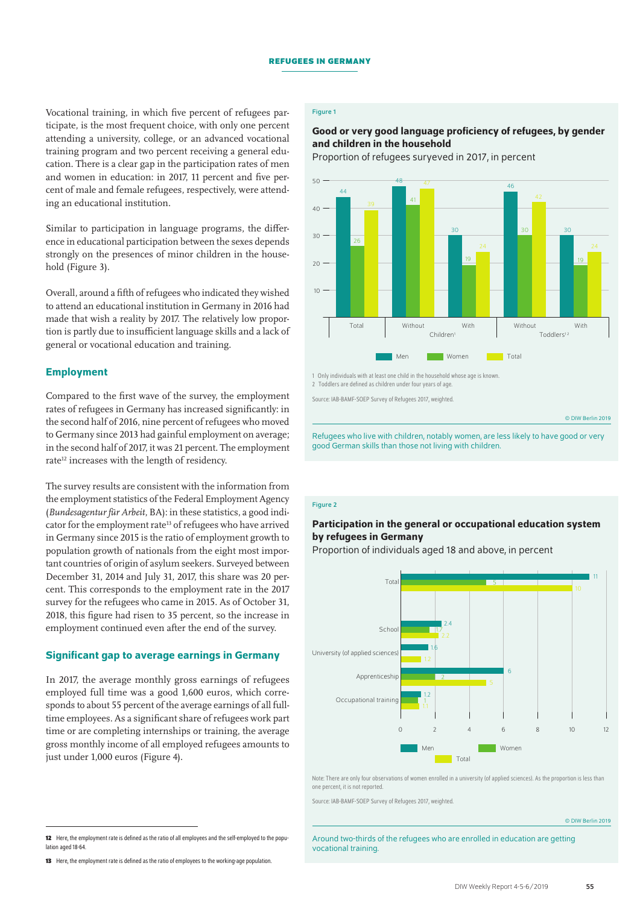Vocational training, in which five percent of refugees participate, is the most frequent choice, with only one percent attending a university, college, or an advanced vocational training program and two percent receiving a general education. There is a clear gap in the participation rates of men and women in education: in 2017, 11 percent and five percent of male and female refugees, respectively, were attending an educational institution.

Similar to participation in language programs, the difference in educational participation between the sexes depends strongly on the presences of minor children in the household (Figure 3).

Overall, around a fifth of refugees who indicated they wished to attend an educational institution in Germany in 2016 had made that wish a reality by 2017. The relatively low proportion is partly due to insufficient language skills and a lack of general or vocational education and training.

## Employment

Compared to the first wave of the survey, the employment rates of refugees in Germany has increased significantly: in the second half of 2016, nine percent of refugees who moved to Germany since 2013 had gainful employment on average; in the second half of 2017, it was 21 percent. The employment rate<sup>12</sup> increases with the length of residency.

The survey results are consistent with the information from the employment statistics of the Federal Employment Agency (*Bundesagentur für Arbeit*, BA): in these statistics, a good indicator for the employment rate<sup>13</sup> of refugees who have arrived in Germany since 2015 is the ratio of employment growth to population growth of nationals from the eight most important countries of origin of asylum seekers. Surveyed between December 31, 2014 and July 31, 2017, this share was 20 percent. This corresponds to the employment rate in the 2017 survey for the refugees who came in 2015. As of October 31, 2018, this figure had risen to 35 percent, so the increase in employment continued even after the end of the survey.

## Significant gap to average earnings in Germany

In 2017, the average monthly gross earnings of refugees employed full time was a good 1,600 euros, which corresponds to about 55 percent of the average earnings of all fulltime employees. As a significant share of refugees work part time or are completing internships or training, the average gross monthly income of all employed refugees amounts to just under 1,000 euros (Figure 4).

## Figure 1

## Good or very good language proficiency of refugees, by gender and children in the household

Proportion of refugees suryeved in 2017, in percent



Source: IAB-BAMF-SOEP Survey of Refugees 2017, weighted.

© DIW Berlin 2019

Refugees who live with children, notably women, are less likely to have good or very good German skills than those not living with children.

#### Figure 2

## Participation in the general or occupational education system by refugees in Germany

Proportion of individuals aged 18 and above, in percent



Note: There are only four observations of women enrolled in a university (of applied sciences). As the proportion is less than one percent, it is not reported.

Source: IAB-BAMF-SOEP Survey of Refugees 2017, weighted.

© DIW Berlin 2019

Around two-thirds of the refugees who are enrolled in education are getting vocational training.

**<sup>12</sup>** Here, the employment rate is defined as the ratio of all employees and the self-employed to the population aged 18-64

**<sup>13</sup>** Here, the employment rate is defined as the ratio of employees to the working-age population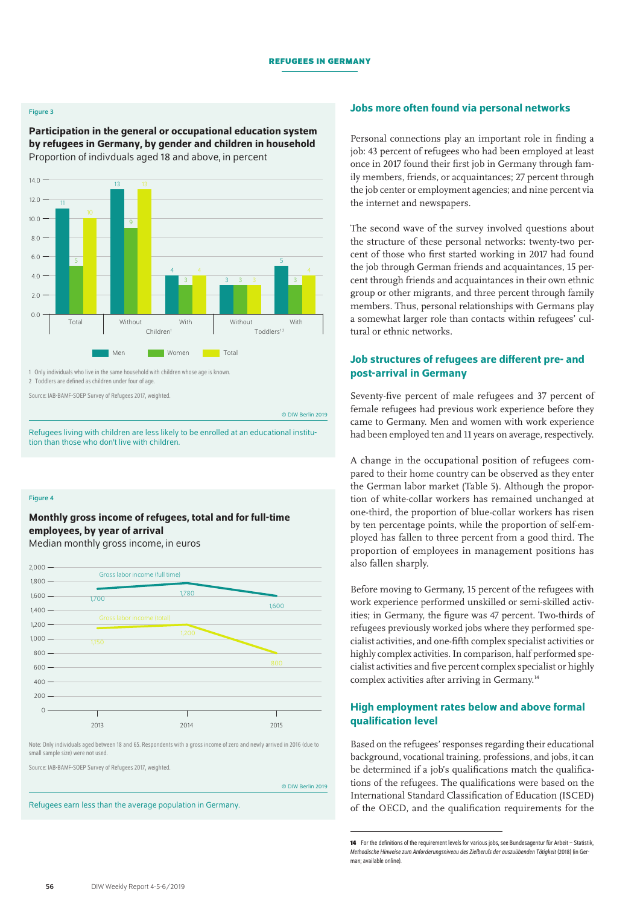#### Figure 3

Participation in the general or occupational education system by refugees in Germany, by gender and children in household Proportion of indivduals aged 18 and above, in percent



1 Only individuals who live in the same household with children whose age is known.

2 Toddlers are defined as children under four of age.

Source: IAB-BAMF-SOEP Survey of Refugees 2017, weighted.

© DIW Berlin 2019

Refugees living with children are less likely to be enrolled at an educational institution than those who don't live with children.

#### Figure 4

## Monthly gross income of refugees, total and for full-time employees, by year of arrival

Median monthly gross income, in euros



Note: Only individuals aged between 18 and 65. Respondents with a gross income of zero and newly arrived in 2016 (due to small sample size) were not used.

Source: IAB-BAMF-SOEP Survey of Refugees 2017, weighted.

© DIW Berlin 2019

Refugees earn less than the average population in Germany.

#### Jobs more often found via personal networks

Personal connections play an important role in finding a job: 43 percent of refugees who had been employed at least once in 2017 found their first job in Germany through family members, friends, or acquaintances; 27 percent through the job center or employment agencies; and nine percent via the internet and newspapers.

The second wave of the survey involved questions about the structure of these personal networks: twenty-two percent of those who first started working in 2017 had found the job through German friends and acquaintances, 15 percent through friends and acquaintances in their own ethnic group or other migrants, and three percent through family members. Thus, personal relationships with Germans play a somewhat larger role than contacts within refugees' cultural or ethnic networks.

## Job structures of refugees are different pre- and post-arrival in Germany

Seventy-five percent of male refugees and 37 percent of female refugees had previous work experience before they came to Germany. Men and women with work experience had been employed ten and 11 years on average, respectively.

A change in the occupational position of refugees compared to their home country can be observed as they enter the German labor market (Table 5). Although the proportion of white-collar workers has remained unchanged at one-third, the proportion of blue-collar workers has risen by ten percentage points, while the proportion of self-employed has fallen to three percent from a good third. The proportion of employees in management positions has also fallen sharply.

Before moving to Germany, 15 percent of the refugees with work experience performed unskilled or semi-skilled activities; in Germany, the figure was 47 percent. Two-thirds of refugees previously worked jobs where they performed specialist activities, and one-fifth complex specialist activities or highly complex activities. In comparison, half performed specialist activities and five percent complex specialist or highly complex activities after arriving in Germany.14

## High employment rates below and above formal qualification level

Based on the refugees' responses regarding their educational background, vocational training, professions, and jobs, it can be determined if a job's qualifications match the qualifications of the refugees. The qualifications were based on the International Standard Classification of Education (ISCED) of the OECD, and the qualification requirements for the

**<sup>14</sup>** For the definitions of the requirement levels for various jobs, see Bundesagentur für Arbeit – Statistik, *Methodische Hinweise zum Anforderungsniveau des Zielberufs der auszuübenden Tätigkeit* (2018) (in German; [available online](https://statistik.arbeitsagentur.de/nn_4236/Statischer-Content/Grundlagen/Methodische-Hinweise/AST-MethHinweise/Anforderungsniveau-Berufe.html)).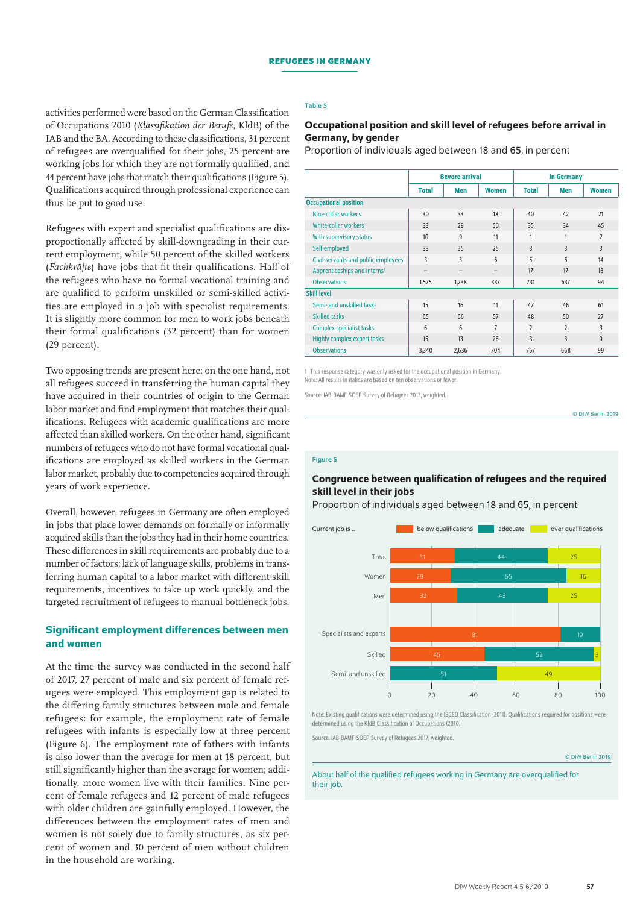#### Table 5

activities performed were based on the German Classification of Occupations 2010 (*Klassifikation der Berufe*, KldB) of the IAB and the BA. According to these classifications, 31 percent of refugees are overqualified for their jobs, 25 percent are working jobs for which they are not formally qualified, and 44 percent have jobs that match their qualifications (Figure 5). Qualifications acquired through professional experience can thus be put to good use.

Refugees with expert and specialist qualifications are disproportionally affected by skill-downgrading in their current employment, while 50 percent of the skilled workers (*Fachkräfte*) have jobs that fit their qualifications. Half of the refugees who have no formal vocational training and are qualified to perform unskilled or semi-skilled activities are employed in a job with specialist requirements. It is slightly more common for men to work jobs beneath their formal qualifications (32 percent) than for women (29 percent).

Two opposing trends are present here: on the one hand, not all refugees succeed in transferring the human capital they have acquired in their countries of origin to the German labor market and find employment that matches their qualifications. Refugees with academic qualifications are more affected than skilled workers. On the other hand, significant numbers of refugees who do not have formal vocational qualifications are employed as skilled workers in the German labor market, probably due to competencies acquired through years of work experience.

Overall, however, refugees in Germany are often employed in jobs that place lower demands on formally or informally acquired skills than the jobs they had in their home countries. These differences in skill requirements are probably due to a number of factors: lack of language skills, problems in transferring human capital to a labor market with different skill requirements, incentives to take up work quickly, and the targeted recruitment of refugees to manual bottleneck jobs.

## Significant employment differences between men and women

At the time the survey was conducted in the second half of 2017, 27 percent of male and six percent of female refugees were employed. This employment gap is related to the differing family structures between male and female refugees: for example, the employment rate of female refugees with infants is especially low at three percent (Figure 6). The employment rate of fathers with infants is also lower than the average for men at 18 percent, but still significantly higher than the average for women; additionally, more women live with their families. Nine percent of female refugees and 12 percent of male refugees with older children are gainfully employed. However, the differences between the employment rates of men and women is not solely due to family structures, as six percent of women and 30 percent of men without children in the household are working.

## Occupational position and skill level of refugees before arrival in Germany, by gender

Proportion of individuals aged between 18 and 65, in percent

|                                          | <b>Bevore arrival</b>    |                          |                          | <b>In Germany</b> |                |                |
|------------------------------------------|--------------------------|--------------------------|--------------------------|-------------------|----------------|----------------|
|                                          | <b>Total</b>             | <b>Men</b>               | <b>Women</b>             | <b>Total</b>      | Men            | <b>Women</b>   |
| <b>Occupational position</b>             |                          |                          |                          |                   |                |                |
| <b>Blue-collar workers</b>               | 30                       | 33                       | 18                       | 40                | 42             | 21             |
| <b>White-collar workers</b>              | 33                       | 29                       | 50                       | 35                | 34             | 45             |
| With supervisory status                  | 10                       | $\mathbf{g}$             | 11                       | $\mathbf{1}$      | 1              | $\overline{2}$ |
| Self-employed                            | 33                       | 35                       | 25                       | 3                 | 3              | 3              |
| Civil-servants and public employees      | 3                        | 3                        | $6\phantom{1}$           | 5                 | 5              | 14             |
| Apprenticeships and interns <sup>1</sup> | $\overline{\phantom{0}}$ | $\overline{\phantom{0}}$ | $\overline{\phantom{0}}$ | 17                | 17             | 18             |
| <b>Observations</b>                      | 1,575                    | 1,238                    | 337                      | 731               | 637            | 94             |
| <b>Skill level</b>                       |                          |                          |                          |                   |                |                |
| Semi- and unskilled tasks                | 15                       | 16                       | 11                       | 47                | 46             | 61             |
| <b>Skilled tasks</b>                     | 65                       | 66                       | 57                       | 48                | 50             | 27             |
| <b>Complex specialist tasks</b>          | 6                        | $6\phantom{1}$           | $\overline{7}$           | $\overline{2}$    | $\overline{2}$ | 3              |
| Highly complex expert tasks              | 15                       | 13                       | 26                       | 3                 | 3              | 9              |
| <b>Observations</b>                      | 3,340                    | 2,636                    | 704                      | 767               | 668            | 99             |

1 This response category was only asked for the occupational position in Germany. Note: All results in italics are based on ten observations or fewer.

Source: IAB-BAMF-SOEP Survey of Refugees 2017, weighted.

© DIW Berlin 2019

#### Figure 5

## Congruence between qualification of refugees and the required skill level in their jobs

Proportion of individuals aged between 18 and 65, in percent



Note: Existing qualifications were determined using the ISCED Classification (2011). Qualifications required for positions were determined using the KldB Classification of Occupations (2010).

Source: IAB-BAMF-SOEP Survey of Refugees 2017, weighted.

© DIW Berlin 2019

About half of the qualified refugees working in Germany are overqualified for their job.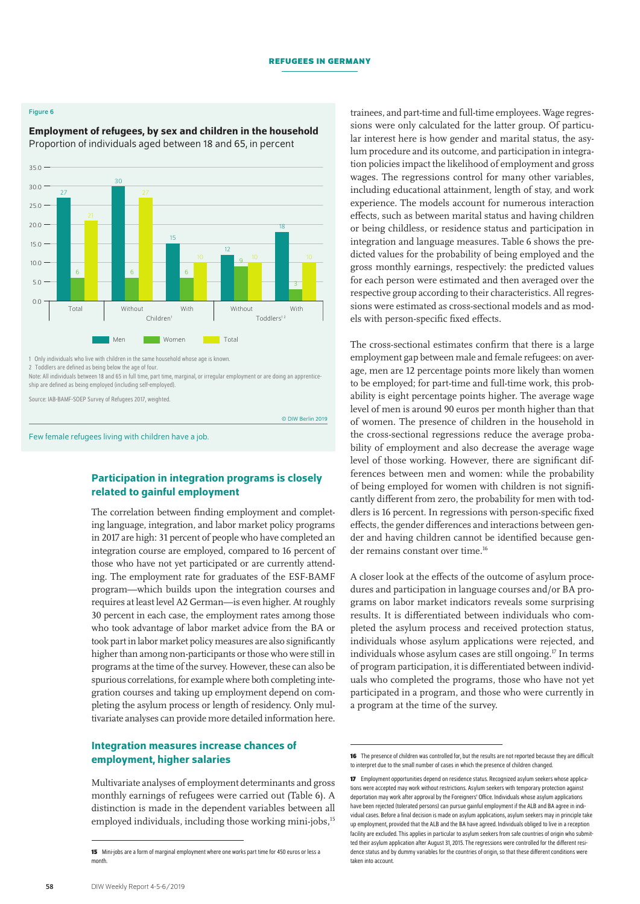#### Figure 6

Employment of refugees, by sex and children in the household Proportion of individuals aged between 18 and 65, in percent



1 Only individuals who live with children in the same household whose age is known.

2 Toddlers are defined as being below the age of four. Note: All individuals between 18 and 65 in full time, part time, marginal, or irregular employment or are doing an apprenticeship are defined as being employed (including self-employed).

Source: IAB-BAMF-SOEP Survey of Refugees 2017, weighted.

© DIW Berlin 2019

Few female refugees living with children have a job.

## Participation in integration programs is closely related to gainful employment

The correlation between finding employment and completing language, integration, and labor market policy programs in 2017 are high: 31 percent of people who have completed an integration course are employed, compared to 16 percent of those who have not yet participated or are currently attending. The employment rate for graduates of the ESF-BAMF program—which builds upon the integration courses and requires at least level A2 German—is even higher. At roughly 30 percent in each case, the employment rates among those who took advantage of labor market advice from the BA or took part in labor market policy measures are also significantly higher than among non-participants or those who were still in programs at the time of the survey. However, these can also be spurious correlations, for example where both completing integration courses and taking up employment depend on completing the asylum process or length of residency. Only multivariate analyses can provide more detailed information here.

## Integration measures increase chances of employment, higher salaries

Multivariate analyses of employment determinants and gross monthly earnings of refugees were carried out (Table 6). A distinction is made in the dependent variables between all employed individuals, including those working mini-jobs,<sup>15</sup>

trainees, and part-time and full-time employees. Wage regressions were only calculated for the latter group. Of particular interest here is how gender and marital status, the asylum procedure and its outcome, and participation in integration policies impact the likelihood of employment and gross wages. The regressions control for many other variables, including educational attainment, length of stay, and work experience. The models account for numerous interaction effects, such as between marital status and having children or being childless, or residence status and participation in integration and language measures. Table 6 shows the predicted values for the probability of being employed and the gross monthly earnings, respectively: the predicted values for each person were estimated and then averaged over the respective group according to their characteristics. All regressions were estimated as cross-sectional models and as models with person-specific fixed effects.

The cross-sectional estimates confirm that there is a large employment gap between male and female refugees: on average, men are 12 percentage points more likely than women to be employed; for part-time and full-time work, this probability is eight percentage points higher. The average wage level of men is around 90 euros per month higher than that of women. The presence of children in the household in the cross-sectional regressions reduce the average probability of employment and also decrease the average wage level of those working. However, there are significant differences between men and women: while the probability of being employed for women with children is not significantly different from zero, the probability for men with toddlers is 16 percent. In regressions with person-specific fixed effects, the gender differences and interactions between gender and having children cannot be identified because gender remains constant over time.<sup>16</sup>

A closer look at the effects of the outcome of asylum procedures and participation in language courses and/or BA programs on labor market indicators reveals some surprising results. It is differentiated between individuals who completed the asylum process and received protection status, individuals whose asylum applications were rejected, and individuals whose asylum cases are still ongoing.17 In terms of program participation, it is differentiated between individuals who completed the programs, those who have not yet participated in a program, and those who were currently in a program at the time of the survey.

**<sup>15</sup>** Mini-jobs are a form of marginal employment where one works part time for 450 euros or less a month.

**<sup>16</sup>** The presence of children was controlled for, but the results are not reported because they are difficult to interpret due to the small number of cases in which the presence of children changed

**<sup>17</sup>** Employment opportunities depend on residence status. Recognized asylum seekers whose applications were accepted may work without restrictions. Asylum seekers with temporary protection against deportation may work after approval by the Foreigners' Office. Individuals whose asylum applications have been rejected (tolerated persons) can pursue gainful employment if the ALB and BA agree in individual cases. Before a final decision is made on asylum applications, asylum seekers may in principle take up employment, provided that the ALB and the BA have agreed. Individuals obliged to live in a reception facility are excluded. This applies in particular to asylum seekers from safe countries of origin who submitted their asylum application after August 31, 2015. The regressions were controlled for the different residence status and by dummy variables for the countries of origin, so that these different conditions were taken into account.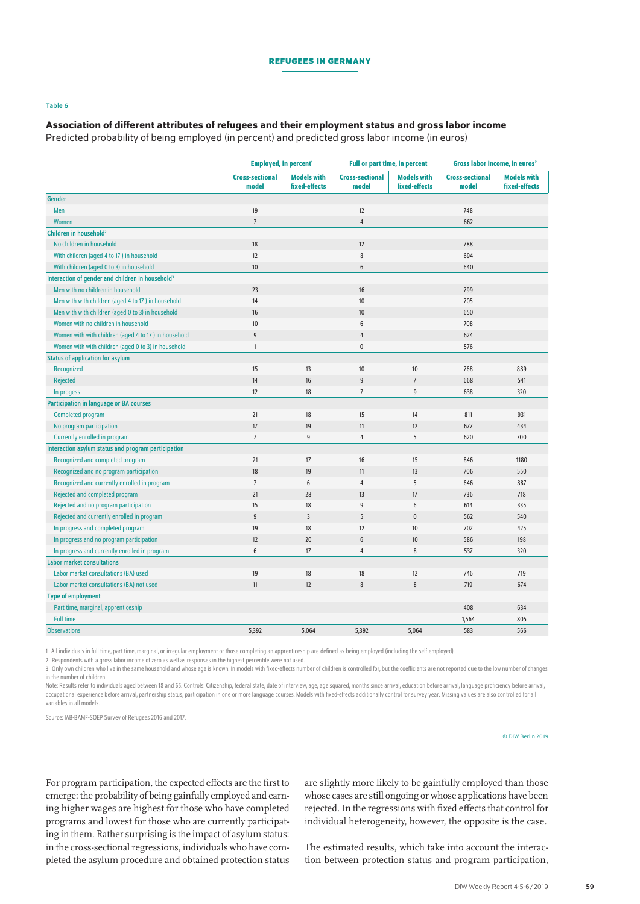#### Table 6

## Association of different attributes of refugees and their employment status and gross labor income

Predicted probability of being employed (in percent) and predicted gross labor income (in euros)

|                                                              | Employed, in percent <sup>1</sup> |                                     | <b>Full or part time, in percent</b> |                                     | Gross labor income, in euros <sup>2</sup> |                                     |
|--------------------------------------------------------------|-----------------------------------|-------------------------------------|--------------------------------------|-------------------------------------|-------------------------------------------|-------------------------------------|
|                                                              | <b>Cross-sectional</b><br>model   | <b>Models with</b><br>fixed-effects | <b>Cross-sectional</b><br>model      | <b>Models with</b><br>fixed-effects | <b>Cross-sectional</b><br>model           | <b>Models with</b><br>fixed-effects |
| <b>Gender</b>                                                |                                   |                                     |                                      |                                     |                                           |                                     |
| Men                                                          | 19                                |                                     | 12                                   |                                     | 748                                       |                                     |
| Women                                                        | $\overline{7}$                    |                                     | 4                                    |                                     | 662                                       |                                     |
| Children in household <sup>3</sup>                           |                                   |                                     |                                      |                                     |                                           |                                     |
| No children in household                                     | 18                                |                                     | 12                                   |                                     | 788                                       |                                     |
| With children (aged 4 to 17) in household                    | 12                                |                                     | 8                                    |                                     | 694                                       |                                     |
| With children (aged 0 to 3) in household                     | 10                                |                                     | 6                                    |                                     | 640                                       |                                     |
| Interaction of gender and children in household <sup>3</sup> |                                   |                                     |                                      |                                     |                                           |                                     |
| Men with no children in household                            | 23                                |                                     | $16\,$                               |                                     | 799                                       |                                     |
| Men with with children (aged 4 to 17) in household           | 14                                |                                     | 10                                   |                                     | 705                                       |                                     |
| Men with with children (aged 0 to 3) in household            | 16                                |                                     | 10                                   |                                     | 650                                       |                                     |
| Women with no children in household                          | 10                                |                                     | 6                                    |                                     | 708                                       |                                     |
| Women with with children (aged 4 to 17) in household         | $\boldsymbol{9}$                  |                                     | 4                                    |                                     | 624                                       |                                     |
| Women with with children (aged 0 to 3) in household          | $\mathbf{1}$                      |                                     | $\mathbf 0$                          |                                     | 576                                       |                                     |
| <b>Status of application for asylum</b>                      |                                   |                                     |                                      |                                     |                                           |                                     |
| Recognized                                                   | 15                                | 13                                  | 10                                   | 10                                  | 768                                       | 889                                 |
| Rejected                                                     | 14                                | 16                                  | 9                                    | $\overline{7}$                      | 668                                       | 541                                 |
| In progess                                                   | 12                                | 18                                  | $\overline{7}$                       | 9                                   | 638                                       | 320                                 |
| <b>Participation in language or BA courses</b>               |                                   |                                     |                                      |                                     |                                           |                                     |
| Completed program                                            | 21                                | 18                                  | 15                                   | 14                                  | 811                                       | 931                                 |
| No program participation                                     | 17                                | 19                                  | 11                                   | 12                                  | 677                                       | 434                                 |
| Currently enrolled in program                                | $\overline{7}$                    | 9                                   | 4                                    | 5                                   | 620                                       | 700                                 |
| Interaction asylum status and program participation          |                                   |                                     |                                      |                                     |                                           |                                     |
| Recognized and completed program                             | 21                                | 17                                  | 16                                   | 15                                  | 846                                       | 1180                                |
| Recognized and no program participation                      | 18                                | 19                                  | 11                                   | 13                                  | 706                                       | 550                                 |
| Recognized and currently enrolled in program                 | $\overline{7}$                    | 6                                   | 4                                    | 5                                   | 646                                       | 887                                 |
| Rejected and completed program                               | 21                                | 28                                  | 13                                   | 17                                  | 736                                       | 718                                 |
| Rejected and no program participation                        | 15                                | 18                                  | 9                                    | 6                                   | 614                                       | 335                                 |
| Rejected and currently enrolled in program                   | $\boldsymbol{9}$                  | $\overline{3}$                      | 5                                    | $\pmb{0}$                           | 562                                       | 540                                 |
| In progress and completed program                            | 19                                | 18                                  | 12                                   | 10                                  | 702                                       | 425                                 |
| In progress and no program participation                     | 12                                | 20                                  | 6                                    | 10                                  | 586                                       | 198                                 |
| In progress and currently enrolled in program                | 6                                 | 17                                  | 4                                    | 8                                   | 537                                       | 320                                 |
| <b>Labor market consultations</b>                            |                                   |                                     |                                      |                                     |                                           |                                     |
| Labor market consultations (BA) used                         | 19                                | 18                                  | 18                                   | 12                                  | 746                                       | 719                                 |
| Labor market consultations (BA) not used                     | 11                                | 12                                  | 8                                    | 8                                   | 719                                       | 674                                 |
| <b>Type of employment</b>                                    |                                   |                                     |                                      |                                     |                                           |                                     |
| Part time, marginal, apprenticeship                          |                                   |                                     |                                      |                                     | 408                                       | 634                                 |
| <b>Full time</b>                                             |                                   |                                     |                                      |                                     | 1,564                                     | 805                                 |
| <b>Observations</b>                                          | 5,392                             | 5,064                               | 5,392                                | 5,064                               | 583                                       | 566                                 |

1 All individuals in full time, part time, marginal, or irregular employment or those completing an apprenticeship are defined as being employed (including the self-employed).

2 Respondents with a gross labor income of zero as well as responses in the highest percentile were not used.

3 Only own children who live in the same household and whose age is known. In models with fixed-effects number of children is controlled for, but the coefficients are not reported due to the low number of changes in the number of children.

Note: Results refer to individuals aged between 18 and 65. Controls: Citizenship, federal state, date of interview, age, age squared, months since arrival, education before arrival, language proficiency before arrival, occupational experience before arrival, partnership status, participation in one or more language courses. Models with fixed-effects additionally control for survey year. Missing values are also controlled for all variables in all models.

Source: IAB-BAMF-SOEP Survey of Refugees 2016 and 2017.

For program participation, the expected effects are the first to emerge: the probability of being gainfully employed and earning higher wages are highest for those who have completed programs and lowest for those who are currently participating in them. Rather surprising is the impact of asylum status: in the cross-sectional regressions, individuals who have completed the asylum procedure and obtained protection status are slightly more likely to be gainfully employed than those whose cases are still ongoing or whose applications have been rejected. In the regressions with fixed effects that control for individual heterogeneity, however, the opposite is the case.

The estimated results, which take into account the interaction between protection status and program participation,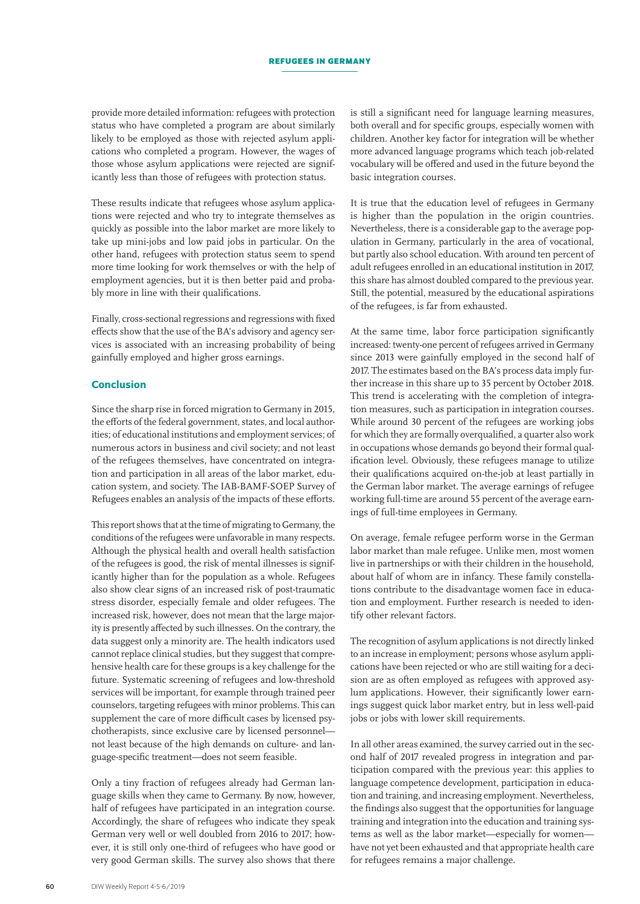provide more detailed information: refugees with protection status who have completed a program are about similarly likely to be employed as those with rejected asylum applications who completed a program. However, the wages of those whose asylum applications were rejected are significantly less than those of refugees with protection status.

These results indicate that refugees whose asylum applications were rejected and who try to integrate themselves as quickly as possible into the labor market are more likely to take up mini-jobs and low paid jobs in particular. On the other hand, refugees with protection status seem to spend more time looking for work themselves or with the help of employment agencies, but it is then better paid and probably more in line with their qualifications.

Finally, cross-sectional regressions and regressions with fixed effects show that the use of the BA's advisory and agency services is associated with an increasing probability of being gainfully employed and higher gross earnings.

### Conclusion

Since the sharp rise in forced migration to Germany in 2015, the efforts of the federal government, states, and local authorities; of educational institutions and employment services; of numerous actors in business and civil society; and not least of the refugees themselves, have concentrated on integration and participation in all areas of the labor market, education system, and society. The IAB-BAMF-SOEP Survey of Refugees enables an analysis of the impacts of these efforts.

This report shows that at the time of migrating to Germany, the conditions of the refugees were unfavorable in many respects. Although the physical health and overall health satisfaction of the refugees is good, the risk of mental illnesses is significantly higher than for the population as a whole. Refugees also show clear signs of an increased risk of post-traumatic stress disorder, especially female and older refugees. The increased risk, however, does not mean that the large majority is presently affected by such illnesses. On the contrary, the data suggest only a minority are. The health indicators used cannot replace clinical studies, but they suggest that comprehensive health care for these groups is a key challenge for the future. Systematic screening of refugees and low-threshold services will be important, for example through trained peer counselors, targeting refugees with minor problems. This can supplement the care of more difficult cases by licensed psychotherapists, since exclusive care by licensed personnel not least because of the high demands on culture- and language-specific treatment—does not seem feasible.

Only a tiny fraction of refugees already had German language skills when they came to Germany. By now, however, half of refugees have participated in an integration course. Accordingly, the share of refugees who indicate they speak German very well or well doubled from 2016 to 2017; however, it is still only one-third of refugees who have good or very good German skills. The survey also shows that there

is still a significant need for language learning measures, both overall and for specific groups, especially women with children. Another key factor for integration will be whether more advanced language programs which teach job-related vocabulary will be offered and used in the future beyond the basic integration courses.

It is true that the education level of refugees in Germany is higher than the population in the origin countries. Nevertheless, there is a considerable gap to the average population in Germany, particularly in the area of vocational, but partly also school education. With around ten percent of adult refugees enrolled in an educational institution in 2017, this share has almost doubled compared to the previous year. Still, the potential, measured by the educational aspirations of the refugees, is far from exhausted.

At the same time, labor force participation significantly increased: twenty-one percent of refugees arrived in Germany since 2013 were gainfully employed in the second half of 2017. The estimates based on the BA's process data imply further increase in this share up to 35 percent by October 2018. This trend is accelerating with the completion of integration measures, such as participation in integration courses. While around 30 percent of the refugees are working jobs for which they are formally overqualified, a quarter also work in occupations whose demands go beyond their formal qualification level. Obviously, these refugees manage to utilize their qualifications acquired on-the-job at least partially in the German labor market. The average earnings of refugee working full-time are around 55 percent of the average earnings of full-time employees in Germany.

On average, female refugee perform worse in the German labor market than male refugee. Unlike men, most women live in partnerships or with their children in the household, about half of whom are in infancy. These family constellations contribute to the disadvantage women face in education and employment. Further research is needed to identify other relevant factors.

The recognition of asylum applications is not directly linked to an increase in employment; persons whose asylum applications have been rejected or who are still waiting for a decision are as often employed as refugees with approved asylum applications. However, their significantly lower earnings suggest quick labor market entry, but in less well-paid jobs or jobs with lower skill requirements.

In all other areas examined, the survey carried out in the second half of 2017 revealed progress in integration and participation compared with the previous year: this applies to language competence development, participation in education and training, and increasing employment. Nevertheless, the findings also suggest that the opportunities for language training and integration into the education and training systems as well as the labor market—especially for women have not yet been exhausted and that appropriate health care for refugees remains a major challenge.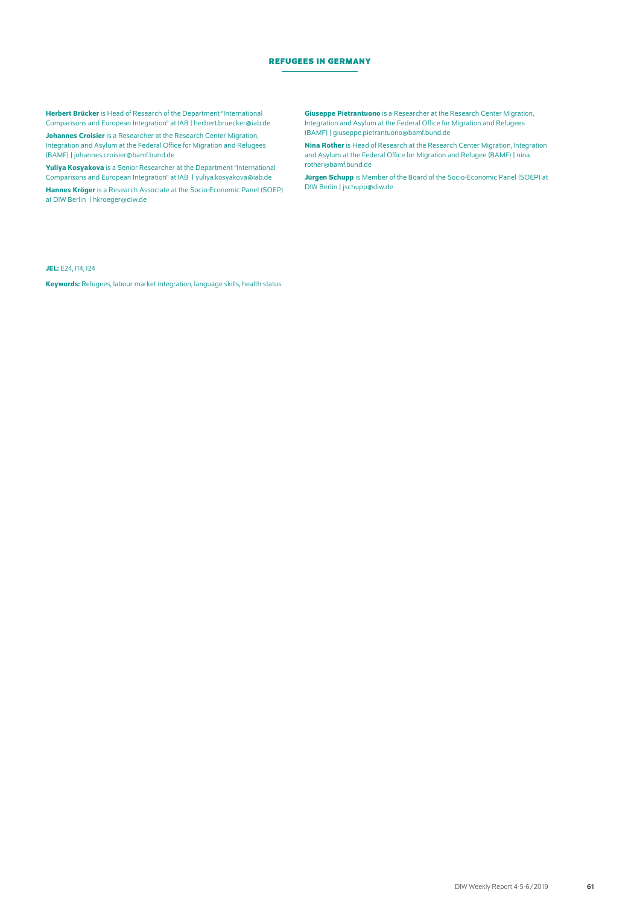Herbert Brücker is Head of Research of the Department "International Comparisons and European Integration" at IAB | [herbert.bruecker@iab.de](mailto:herbert.bruecker%40iab.de?subject=)

Johannes Croisier is a Researcher at the Research Center Migration, Integration and Asylum at the Federal Office for Migration and Refugees (BAMF) | [johannes.croisier@bamf.bund.de](mailto:johannes.croisier%40bamf.bund.de?subject=)

Yuliya Kosyakova is a Senior Researcher at the Department "International Comparisons and European Integration" at IAB | [yuliya.kosyakova@iab.de](mailto:yuliya.kosyakova%40iab.de?subject=) Hannes Kröger is a Research Associate at the Socio-Economic Panel (SOEP) at DIW Berlin | [hkroeger@diw.de](mailto:hkroeger%40diw.de?subject=)

**Giuseppe Pietrantuono** is a Researcher at the Research Center Migration, Integration and Asylum at the Federal Office for Migration and Refugees (BAMF) | [giuseppe.pietrantuono@bamf.bund.de](mailto:giuseppe.pietrantuono%40bamf.bund.de?subject=)

Nina Rother is Head of Research at the Research Center Migration, Integration and Asylum at the Federal Office for Migration and Refugee (BAMF) | [nina.](mailto:nina.rother%40bamf.bund.de?subject=) [rother@bamf.bund.de](mailto:nina.rother%40bamf.bund.de?subject=)

Jürgen Schupp is Member of the Board of the Socio-Economic Panel (SOEP) at DIW Berlin | [jschupp@diw.de](mailto:jschupp%40diw.de?subject=)

#### JEL: E24, I14, I24

Keywords: Refugees, labour market integration, language skills, health status